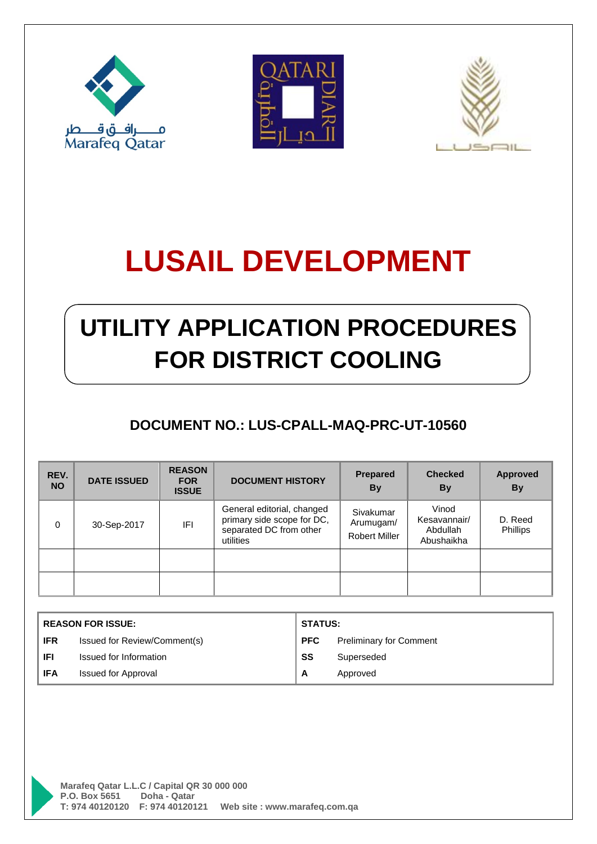





# **LUSAIL DEVELOPMENT**

# **UTILITY APPLICATION PROCEDURES FOR DISTRICT COOLING**

### **DOCUMENT NO.: LUS-CPALL-MAQ-PRC-UT-10560**

| REV.<br><b>NO</b> | <b>DATE ISSUED</b> | <b>REASON</b><br><b>FOR</b><br><b>ISSUE</b> | <b>DOCUMENT HISTORY</b>                                                                          | <b>Prepared</b><br><b>By</b>                   | <b>Checked</b><br>By                            | <b>Approved</b><br><b>By</b> |
|-------------------|--------------------|---------------------------------------------|--------------------------------------------------------------------------------------------------|------------------------------------------------|-------------------------------------------------|------------------------------|
| $\Omega$          | 30-Sep-2017        | IFI.                                        | General editorial, changed<br>primary side scope for DC,<br>separated DC from other<br>utilities | Sivakumar<br>Arumugam/<br><b>Robert Miller</b> | Vinod<br>Kesavannair/<br>Abdullah<br>Abushaikha | D. Reed<br>Phillips          |
|                   |                    |                                             |                                                                                                  |                                                |                                                 |                              |
|                   |                    |                                             |                                                                                                  |                                                |                                                 |                              |

| <b>REASON FOR ISSUE:</b> |                              | <b>STATUS:</b> |                                |
|--------------------------|------------------------------|----------------|--------------------------------|
| <b>IFR</b>               | Issued for Review/Comment(s) | <b>PFC</b>     | <b>Preliminary for Comment</b> |
| <b>IFI</b>               | Issued for Information       | SS             | Superseded                     |
| <b>IFA</b>               | <b>Issued for Approval</b>   | A              | Approved                       |

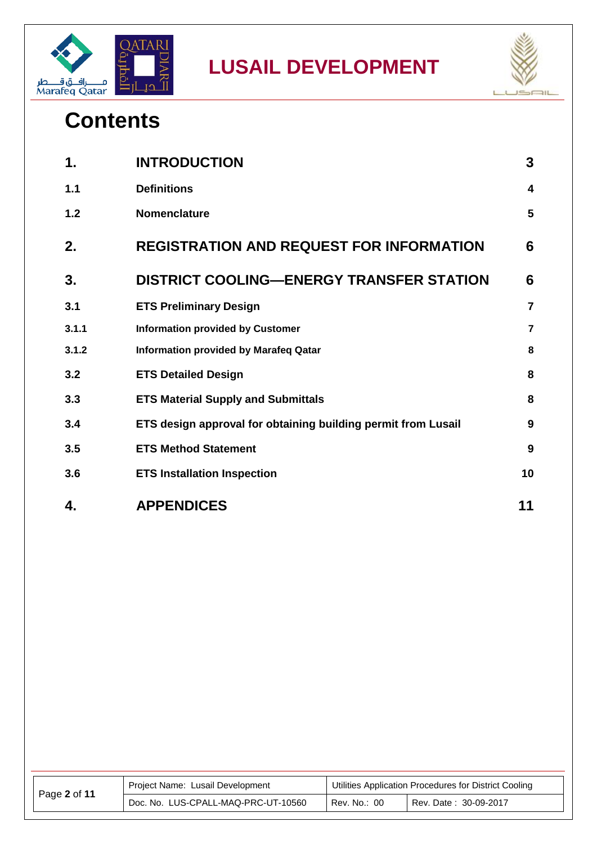



## **Contents**

| 1.    | <b>INTRODUCTION</b>                                           | 3                       |
|-------|---------------------------------------------------------------|-------------------------|
| 1.1   | <b>Definitions</b>                                            | $\overline{\mathbf{4}}$ |
| 1.2   | Nomenclature                                                  | 5                       |
| 2.    | <b>REGISTRATION AND REQUEST FOR INFORMATION</b>               | 6                       |
| 3.    | <b>DISTRICT COOLING—ENERGY TRANSFER STATION</b>               | 6                       |
| 3.1   | <b>ETS Preliminary Design</b>                                 | $\overline{7}$          |
| 3.1.1 | <b>Information provided by Customer</b>                       | $\overline{7}$          |
| 3.1.2 | <b>Information provided by Marafeq Qatar</b>                  | 8                       |
| 3.2   | <b>ETS Detailed Design</b>                                    | 8                       |
| 3.3   | <b>ETS Material Supply and Submittals</b>                     | 8                       |
| 3.4   | ETS design approval for obtaining building permit from Lusail | 9                       |
| 3.5   | <b>ETS Method Statement</b>                                   | 9                       |
| 3.6   | <b>ETS Installation Inspection</b>                            | 10                      |
| 4.    | <b>APPENDICES</b>                                             | 11                      |

| Page 2 of 11 | Project Name: Lusail Development    | Utilities Application Procedures for District Cooling |                       |
|--------------|-------------------------------------|-------------------------------------------------------|-----------------------|
|              | Doc. No. LUS-CPALL-MAQ-PRC-UT-10560 | Rev. No.: 00                                          | Rev. Date: 30-09-2017 |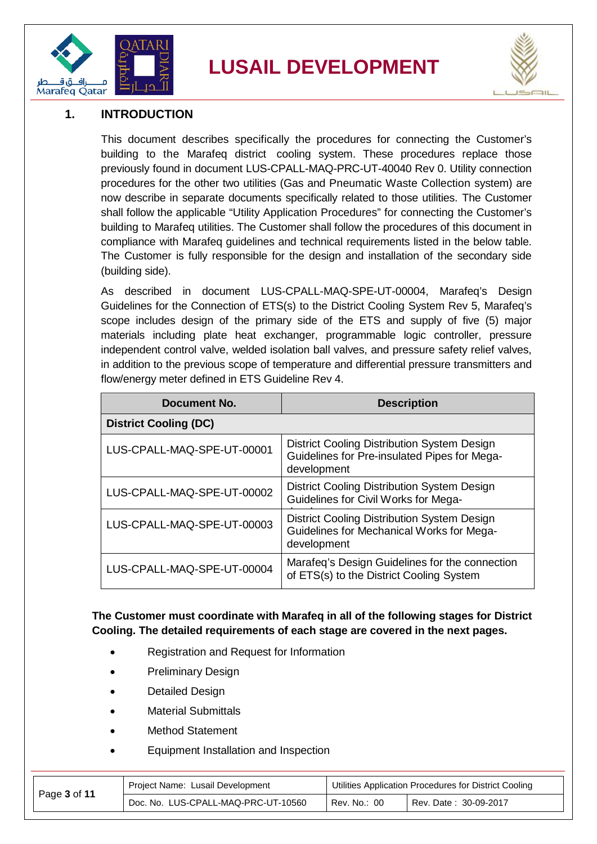

## **LUSAIL DEVELOPMENT**



#### <span id="page-2-0"></span>**1. INTRODUCTION**

This document describes specifically the procedures for connecting the Customer's building to the Marafeq district cooling system. These procedures replace those previously found in document LUS-CPALL-MAQ-PRC-UT-40040 Rev 0. Utility connection procedures for the other two utilities (Gas and Pneumatic Waste Collection system) are now describe in separate documents specifically related to those utilities. The Customer shall follow the applicable "Utility Application Procedures" for connecting the Customer's building to Marafeq utilities. The Customer shall follow the procedures of this document in compliance with Marafeq guidelines and technical requirements listed in the below table. The Customer is fully responsible for the design and installation of the secondary side (building side).

As described in document LUS-CPALL-MAQ-SPE-UT-00004, Marafeq's Design Guidelines for the Connection of ETS(s) to the District Cooling System Rev 5, Marafeq's scope includes design of the primary side of the ETS and supply of five (5) major materials including plate heat exchanger, programmable logic controller, pressure independent control valve, welded isolation ball valves, and pressure safety relief valves, in addition to the previous scope of temperature and differential pressure transmitters and flow/energy meter defined in ETS Guideline Rev 4.

| Document No.                 | <b>Description</b>                                                                                         |
|------------------------------|------------------------------------------------------------------------------------------------------------|
| <b>District Cooling (DC)</b> |                                                                                                            |
| LUS-CPALL-MAQ-SPE-UT-00001   | District Cooling Distribution System Design<br>Guidelines for Pre-insulated Pipes for Mega-<br>development |
| LUS-CPALL-MAQ-SPE-UT-00002   | District Cooling Distribution System Design<br>Guidelines for Civil Works for Mega-                        |
| LUS-CPALL-MAQ-SPE-UT-00003   | District Cooling Distribution System Design<br>Guidelines for Mechanical Works for Mega-<br>development    |
| LUS-CPALL-MAQ-SPE-UT-00004   | Marafeq's Design Guidelines for the connection<br>of ETS(s) to the District Cooling System                 |

#### **The Customer must coordinate with Marafeq in all of the following stages for District Cooling. The detailed requirements of each stage are covered in the next pages.**

- Registration and Request for Information
- Preliminary Design
- Detailed Design
- Material Submittals
- Method Statement
- Equipment Installation and Inspection

|              | Project Name: Lusail Development    | Utilities Application Procedures for District Cooling |                       |
|--------------|-------------------------------------|-------------------------------------------------------|-----------------------|
| Page 3 of 11 | Doc. No. LUS-CPALL-MAQ-PRC-UT-10560 | Rev. No.: 00                                          | Rev. Date: 30-09-2017 |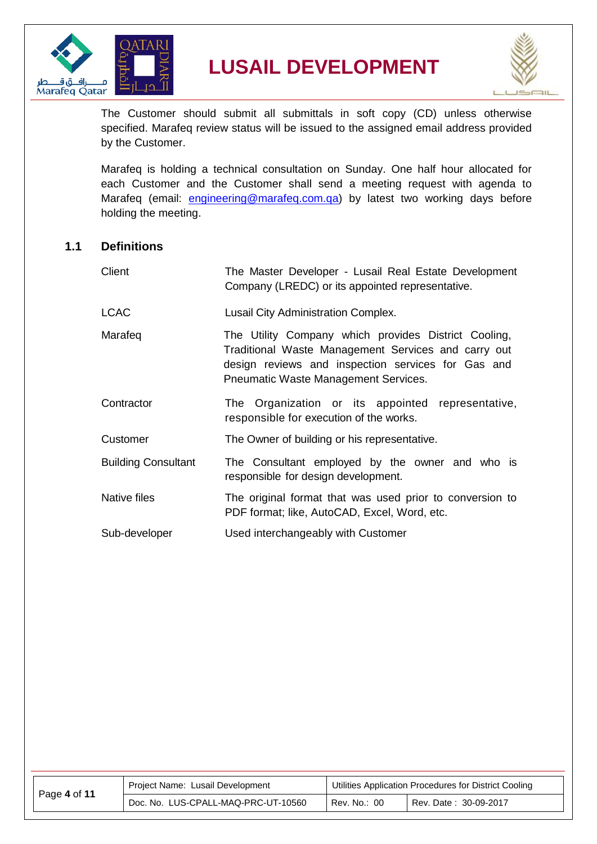



The Customer should submit all submittals in soft copy (CD) unless otherwise specified. Marafeq review status will be issued to the assigned email address provided by the Customer.

Marafeq is holding a technical consultation on Sunday. One half hour allocated for each Customer and the Customer shall send a meeting request with agenda to Marafeq (email: [engineering@marafeq.com.qa\)](mailto:engineering@marafeq.com.qa) by latest two working days before holding the meeting.

#### <span id="page-3-0"></span>**1.1 Definitions**

| Client                     | The Master Developer - Lusail Real Estate Development<br>Company (LREDC) or its appointed representative.                                                                                                 |
|----------------------------|-----------------------------------------------------------------------------------------------------------------------------------------------------------------------------------------------------------|
| <b>LCAC</b>                | Lusail City Administration Complex.                                                                                                                                                                       |
| Marafeq                    | The Utility Company which provides District Cooling,<br>Traditional Waste Management Services and carry out<br>design reviews and inspection services for Gas and<br>Pneumatic Waste Management Services. |
| Contractor                 | The Organization or its appointed representative,<br>responsible for execution of the works.                                                                                                              |
| Customer                   | The Owner of building or his representative.                                                                                                                                                              |
| <b>Building Consultant</b> | The Consultant employed by the owner and who is<br>responsible for design development.                                                                                                                    |
| Native files               | The original format that was used prior to conversion to<br>PDF format; like, AutoCAD, Excel, Word, etc.                                                                                                  |
| Sub-developer              | Used interchangeably with Customer                                                                                                                                                                        |

| Page 4 of 11 | Project Name: Lusail Development    | Utilities Application Procedures for District Cooling |                       |
|--------------|-------------------------------------|-------------------------------------------------------|-----------------------|
|              | Doc. No. LUS-CPALL-MAQ-PRC-UT-10560 | Rev. No.: 00                                          | Rev. Date: 30-09-2017 |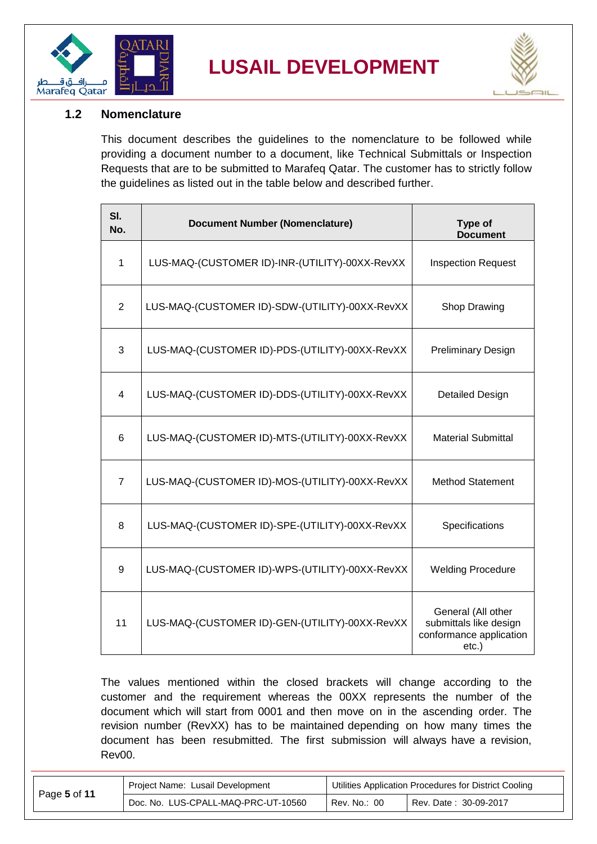



#### <span id="page-4-0"></span>**1.2 Nomenclature**

This document describes the guidelines to the nomenclature to be followed while providing a document number to a document, like Technical Submittals or Inspection Requests that are to be submitted to Marafeq Qatar. The customer has to strictly follow the guidelines as listed out in the table below and described further.

| SI.<br>No.     | <b>Document Number (Nomenclature)</b>          | Type of<br><b>Document</b>                                                          |
|----------------|------------------------------------------------|-------------------------------------------------------------------------------------|
| 1              | LUS-MAQ-(CUSTOMER ID)-INR-(UTILITY)-00XX-RevXX | <b>Inspection Request</b>                                                           |
| 2              | LUS-MAQ-(CUSTOMER ID)-SDW-(UTILITY)-00XX-RevXX | Shop Drawing                                                                        |
| 3              | LUS-MAQ-(CUSTOMER ID)-PDS-(UTILITY)-00XX-RevXX | <b>Preliminary Design</b>                                                           |
| 4              | LUS-MAQ-(CUSTOMER ID)-DDS-(UTILITY)-00XX-RevXX | <b>Detailed Design</b>                                                              |
| 6              | LUS-MAQ-(CUSTOMER ID)-MTS-(UTILITY)-00XX-RevXX | <b>Material Submittal</b>                                                           |
| $\overline{7}$ | LUS-MAQ-(CUSTOMER ID)-MOS-(UTILITY)-00XX-RevXX | <b>Method Statement</b>                                                             |
| 8              | LUS-MAQ-(CUSTOMER ID)-SPE-(UTILITY)-00XX-RevXX | Specifications                                                                      |
| 9              | LUS-MAQ-(CUSTOMER ID)-WPS-(UTILITY)-00XX-RevXX | <b>Welding Procedure</b>                                                            |
| 11             | LUS-MAQ-(CUSTOMER ID)-GEN-(UTILITY)-00XX-RevXX | General (All other<br>submittals like design<br>conformance application<br>$etc.$ ) |

The values mentioned within the closed brackets will change according to the customer and the requirement whereas the 00XX represents the number of the document which will start from 0001 and then move on in the ascending order. The revision number (RevXX) has to be maintained depending on how many times the document has been resubmitted. The first submission will always have a revision, Rev00.

|              | Project Name: Lusail Development    | Utilities Application Procedures for District Cooling |                       |
|--------------|-------------------------------------|-------------------------------------------------------|-----------------------|
| Page 5 of 11 | Doc. No. LUS-CPALL-MAQ-PRC-UT-10560 | Rev. No.: 00                                          | Rev. Date: 30-09-2017 |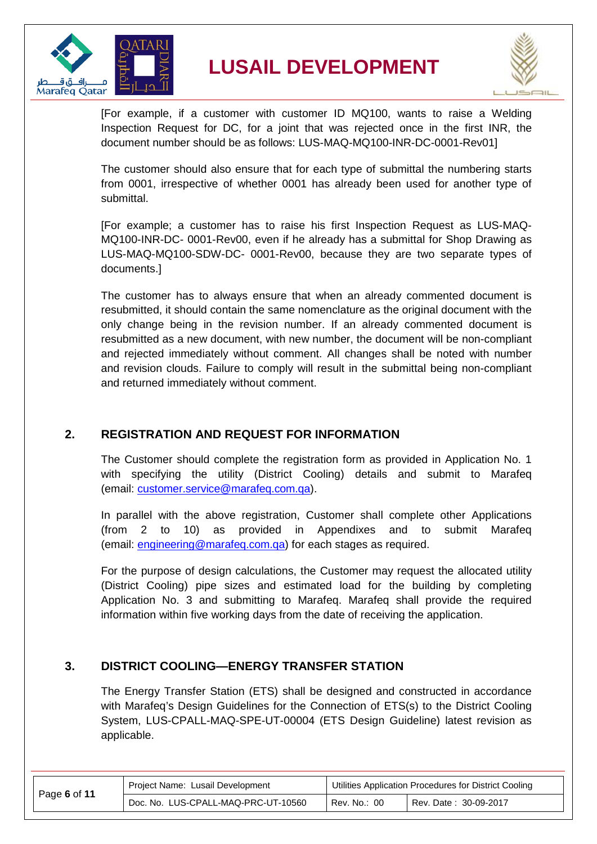

**LUSAIL DEVELOPMENT**



[For example, if a customer with customer ID MQ100, wants to raise a Welding Inspection Request for DC, for a joint that was rejected once in the first INR, the document number should be as follows: LUS-MAQ-MQ100-INR-DC-0001-Rev01]

The customer should also ensure that for each type of submittal the numbering starts from 0001, irrespective of whether 0001 has already been used for another type of submittal.

[For example; a customer has to raise his first Inspection Request as LUS-MAQ-MQ100-INR-DC- 0001-Rev00, even if he already has a submittal for Shop Drawing as LUS-MAQ-MQ100-SDW-DC- 0001-Rev00, because they are two separate types of documents.]

The customer has to always ensure that when an already commented document is resubmitted, it should contain the same nomenclature as the original document with the only change being in the revision number. If an already commented document is resubmitted as a new document, with new number, the document will be non-compliant and rejected immediately without comment. All changes shall be noted with number and revision clouds. Failure to comply will result in the submittal being non-compliant and returned immediately without comment.

#### <span id="page-5-0"></span>**2. REGISTRATION AND REQUEST FOR INFORMATION**

The Customer should complete the registration form as provided in Application No. 1 with specifying the utility (District Cooling) details and submit to Marafeq (email: [customer.service@marafeq.com.qa\)](mailto:customer.service@marafeq.com.qa).

In parallel with the above registration, Customer shall complete other Applications (from 2 to 10) as provided in Appendixes and to submit Marafeq (email: [engineering@marafeq.com.qa\)](mailto:engineering@marafeq.com.qa) for each stages as required.

For the purpose of design calculations, the Customer may request the allocated utility (District Cooling) pipe sizes and estimated load for the building by completing Application No. 3 and submitting to Marafeq. Marafeq shall provide the required information within five working days from the date of receiving the application.

#### <span id="page-5-1"></span>**3. DISTRICT COOLING—ENERGY TRANSFER STATION**

The Energy Transfer Station (ETS) shall be designed and constructed in accordance with Marafeq's Design Guidelines for the Connection of ETS(s) to the District Cooling System, LUS-CPALL-MAQ-SPE-UT-00004 (ETS Design Guideline) latest revision as applicable.

|              | Project Name: Lusail Development    | Utilities Application Procedures for District Cooling |                       |
|--------------|-------------------------------------|-------------------------------------------------------|-----------------------|
| Page 6 of 11 | Doc. No. LUS-CPALL-MAQ-PRC-UT-10560 | Rev. No.: 00                                          | Rev. Date: 30-09-2017 |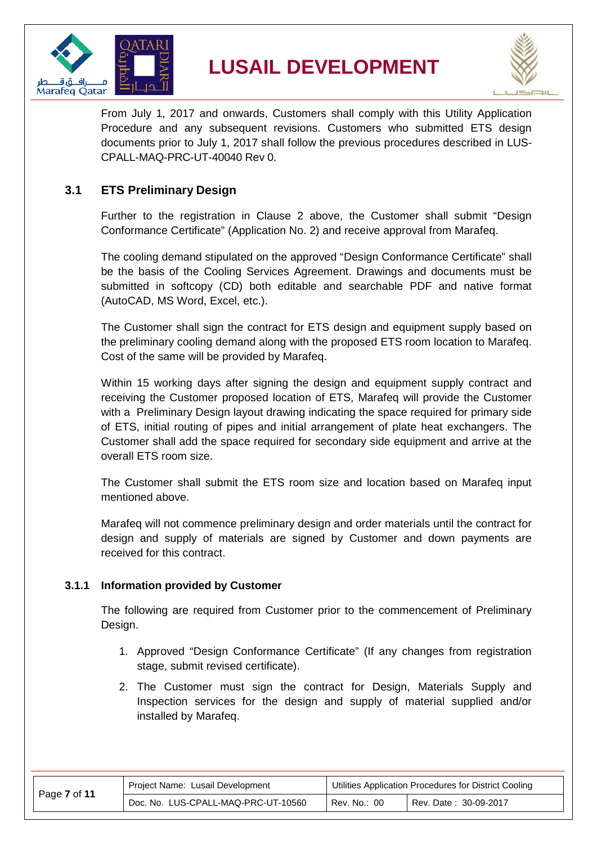



From July 1, 2017 and onwards, Customers shall comply with this Utility Application Procedure and any subsequent revisions. Customers who submitted ETS design documents prior to July 1, 2017 shall follow the previous procedures described in LUS-CPALL-MAQ-PRC-UT-40040 Rev 0.

#### <span id="page-6-0"></span>**3.1 ETS Preliminary Design**

Further to the registration in Clause 2 above, the Customer shall submit "Design Conformance Certificate" (Application No. 2) and receive approval from Marafeq.

The cooling demand stipulated on the approved "Design Conformance Certificate" shall be the basis of the Cooling Services Agreement. Drawings and documents must be submitted in softcopy (CD) both editable and searchable PDF and native format (AutoCAD, MS Word, Excel, etc.).

The Customer shall sign the contract for ETS design and equipment supply based on the preliminary cooling demand along with the proposed ETS room location to Marafeq. Cost of the same will be provided by Marafeq.

Within 15 working days after signing the design and equipment supply contract and receiving the Customer proposed location of ETS, Marafeq will provide the Customer with a Preliminary Design layout drawing indicating the space required for primary side of ETS, initial routing of pipes and initial arrangement of plate heat exchangers. The Customer shall add the space required for secondary side equipment and arrive at the overall ETS room size.

The Customer shall submit the ETS room size and location based on Marafeq input mentioned above.

Marafeq will not commence preliminary design and order materials until the contract for design and supply of materials are signed by Customer and down payments are received for this contract.

#### <span id="page-6-1"></span>**3.1.1 Information provided by Customer**

The following are required from Customer prior to the commencement of Preliminary Design.

- 1. Approved "Design Conformance Certificate" (If any changes from registration stage, submit revised certificate).
- 2. The Customer must sign the contract for Design, Materials Supply and Inspection services for the design and supply of material supplied and/or installed by Marafeq.

|              | Project Name: Lusail Development    | Utilities Application Procedures for District Cooling |                       |
|--------------|-------------------------------------|-------------------------------------------------------|-----------------------|
| Page 7 of 11 | Doc. No. LUS-CPALL-MAQ-PRC-UT-10560 | Rev. No.: 00                                          | Rev. Date: 30-09-2017 |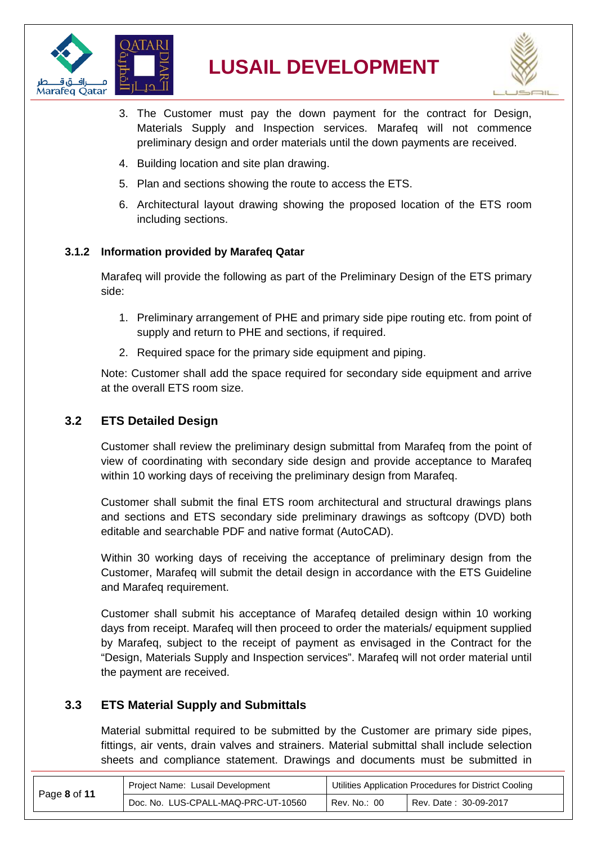



- 3. The Customer must pay the down payment for the contract for Design, Materials Supply and Inspection services. Marafeq will not commence preliminary design and order materials until the down payments are received.
- 4. Building location and site plan drawing.
- 5. Plan and sections showing the route to access the ETS.
- 6. Architectural layout drawing showing the proposed location of the ETS room including sections.

#### <span id="page-7-0"></span>**3.1.2 Information provided by Marafeq Qatar**

Marafeq will provide the following as part of the Preliminary Design of the ETS primary side:

- 1. Preliminary arrangement of PHE and primary side pipe routing etc. from point of supply and return to PHE and sections, if required.
- 2. Required space for the primary side equipment and piping.

Note: Customer shall add the space required for secondary side equipment and arrive at the overall ETS room size.

#### <span id="page-7-1"></span>**3.2 ETS Detailed Design**

Customer shall review the preliminary design submittal from Marafeq from the point of view of coordinating with secondary side design and provide acceptance to Marafeq within 10 working days of receiving the preliminary design from Marafeq.

Customer shall submit the final ETS room architectural and structural drawings plans and sections and ETS secondary side preliminary drawings as softcopy (DVD) both editable and searchable PDF and native format (AutoCAD).

Within 30 working days of receiving the acceptance of preliminary design from the Customer, Marafeq will submit the detail design in accordance with the ETS Guideline and Marafeq requirement.

Customer shall submit his acceptance of Marafeq detailed design within 10 working days from receipt. Marafeq will then proceed to order the materials/ equipment supplied by Marafeq, subject to the receipt of payment as envisaged in the Contract for the "Design, Materials Supply and Inspection services". Marafeq will not order material until the payment are received.

#### <span id="page-7-2"></span>**3.3 ETS Material Supply and Submittals**

Material submittal required to be submitted by the Customer are primary side pipes, fittings, air vents, drain valves and strainers. Material submittal shall include selection sheets and compliance statement. Drawings and documents must be submitted in

|              | Project Name: Lusail Development    | Utilities Application Procedures for District Cooling |                       |  |
|--------------|-------------------------------------|-------------------------------------------------------|-----------------------|--|
| Page 8 of 11 | Doc. No. LUS-CPALL-MAQ-PRC-UT-10560 | Rev. No.: 00                                          | Rev. Date: 30-09-2017 |  |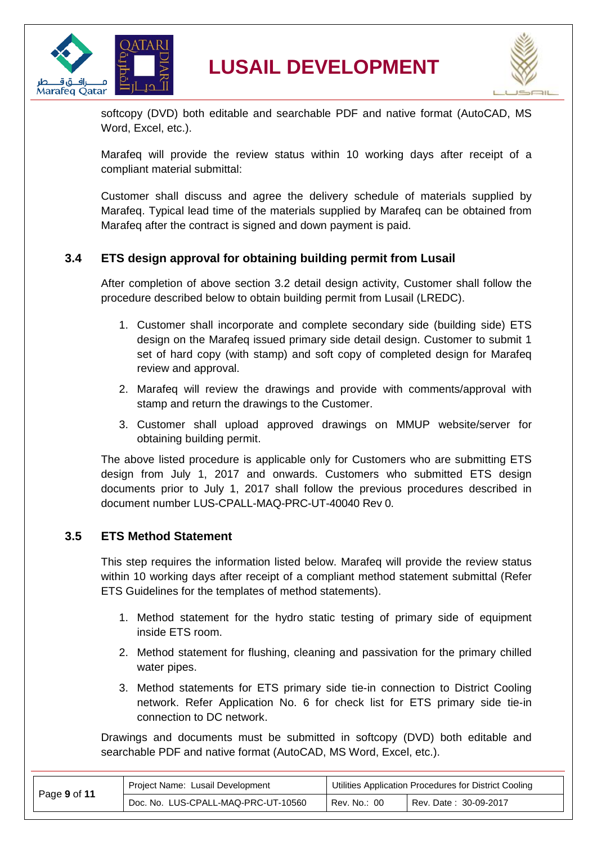



softcopy (DVD) both editable and searchable PDF and native format (AutoCAD, MS Word, Excel, etc.).

Marafeq will provide the review status within 10 working days after receipt of a compliant material submittal:

Customer shall discuss and agree the delivery schedule of materials supplied by Marafeq. Typical lead time of the materials supplied by Marafeq can be obtained from Marafeq after the contract is signed and down payment is paid.

#### <span id="page-8-0"></span>**3.4 ETS design approval for obtaining building permit from Lusail**

After completion of above section [3.2](#page-7-1) detail design activity, Customer shall follow the procedure described below to obtain building permit from Lusail (LREDC).

- 1. Customer shall incorporate and complete secondary side (building side) ETS design on the Marafeq issued primary side detail design. Customer to submit 1 set of hard copy (with stamp) and soft copy of completed design for Marafeq review and approval.
- 2. Marafeq will review the drawings and provide with comments/approval with stamp and return the drawings to the Customer.
- 3. Customer shall upload approved drawings on MMUP website/server for obtaining building permit.

The above listed procedure is applicable only for Customers who are submitting ETS design from July 1, 2017 and onwards. Customers who submitted ETS design documents prior to July 1, 2017 shall follow the previous procedures described in document number LUS-CPALL-MAQ-PRC-UT-40040 Rev 0.

#### <span id="page-8-1"></span>**3.5 ETS Method Statement**

This step requires the information listed below. Marafeq will provide the review status within 10 working days after receipt of a compliant method statement submittal (Refer ETS Guidelines for the templates of method statements).

- 1. Method statement for the hydro static testing of primary side of equipment inside ETS room.
- 2. Method statement for flushing, cleaning and passivation for the primary chilled water pipes.
- 3. Method statements for ETS primary side tie-in connection to District Cooling network. Refer Application No. 6 for check list for ETS primary side tie-in connection to DC network.

Drawings and documents must be submitted in softcopy (DVD) both editable and searchable PDF and native format (AutoCAD, MS Word, Excel, etc.).

|              | Project Name: Lusail Development    | Utilities Application Procedures for District Cooling |                       |
|--------------|-------------------------------------|-------------------------------------------------------|-----------------------|
| Page 9 of 11 | Doc. No. LUS-CPALL-MAQ-PRC-UT-10560 | Rev. No.: 00                                          | Rev. Date: 30-09-2017 |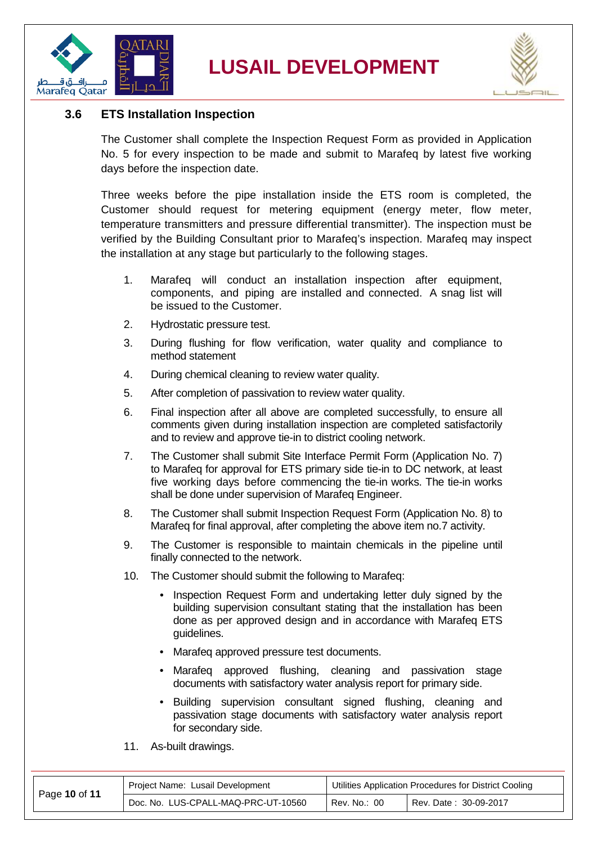



#### <span id="page-9-0"></span>**3.6 ETS Installation Inspection**

The Customer shall complete the Inspection Request Form as provided in Application No. 5 for every inspection to be made and submit to Marafeq by latest five working days before the inspection date.

Three weeks before the pipe installation inside the ETS room is completed, the Customer should request for metering equipment (energy meter, flow meter, temperature transmitters and pressure differential transmitter). The inspection must be verified by the Building Consultant prior to Marafeq's inspection. Marafeq may inspect the installation at any stage but particularly to the following stages.

- 1. Marafeq will conduct an installation inspection after equipment, components, and piping are installed and connected. A snag list will be issued to the Customer.
- 2. Hydrostatic pressure test.
- 3. During flushing for flow verification, water quality and compliance to method statement
- 4. During chemical cleaning to review water quality.
- 5. After completion of passivation to review water quality.
- 6. Final inspection after all above are completed successfully, to ensure all comments given during installation inspection are completed satisfactorily and to review and approve tie-in to district cooling network.
- 7. The Customer shall submit Site Interface Permit Form (Application No. 7) to Marafeq for approval for ETS primary side tie-in to DC network, at least five working days before commencing the tie-in works. The tie-in works shall be done under supervision of Marafeq Engineer.
- 8. The Customer shall submit Inspection Request Form (Application No. 8) to Marafeq for final approval, after completing the above item no.7 activity.
- 9. The Customer is responsible to maintain chemicals in the pipeline until finally connected to the network.
- 10. The Customer should submit the following to Marafeq:
	- Inspection Request Form and undertaking letter duly signed by the building supervision consultant stating that the installation has been done as per approved design and in accordance with Marafeq ETS guidelines.
	- Marafeq approved pressure test documents.
	- Marafeq approved flushing, cleaning and passivation stage documents with satisfactory water analysis report for primary side.
	- Building supervision consultant signed flushing, cleaning and passivation stage documents with satisfactory water analysis report for secondary side.
- 11. As-built drawings.

|               | Project Name: Lusail Development    | Utilities Application Procedures for District Cooling |                       |  |
|---------------|-------------------------------------|-------------------------------------------------------|-----------------------|--|
| Page 10 of 11 | Doc. No. LUS-CPALL-MAQ-PRC-UT-10560 | Rev. No.: 00                                          | Rev. Date: 30-09-2017 |  |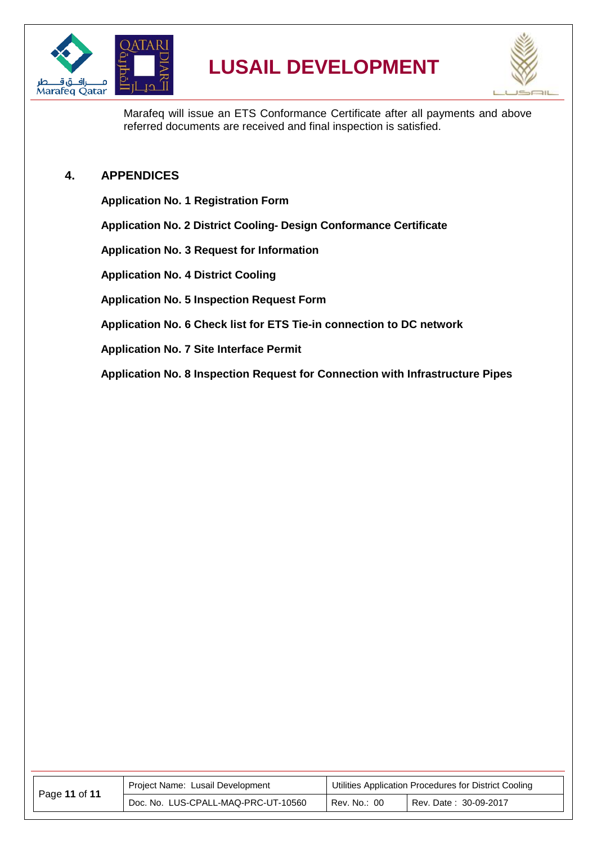



Marafeq will issue an ETS Conformance Certificate after all payments and above referred documents are received and final inspection is satisfied.

#### <span id="page-10-0"></span>**4. APPENDICES**

**Application No. 1 Registration Form**

**Application No. 2 District Cooling- Design Conformance Certificate**

**Application No. 3 Request for Information**

**Application No. 4 District Cooling**

**Application No. 5 Inspection Request Form**

**Application No. 6 Check list for ETS Tie-in connection to DC network**

**Application No. 7 Site Interface Permit**

**Application No. 8 Inspection Request for Connection with Infrastructure Pipes**

| Page 11 of 11 | Project Name: Lusail Development    | Utilities Application Procedures for District Cooling |                       |  |
|---------------|-------------------------------------|-------------------------------------------------------|-----------------------|--|
|               | Doc. No. LUS-CPALL-MAQ-PRC-UT-10560 | Rev. No.: 00                                          | Rev. Date: 30-09-2017 |  |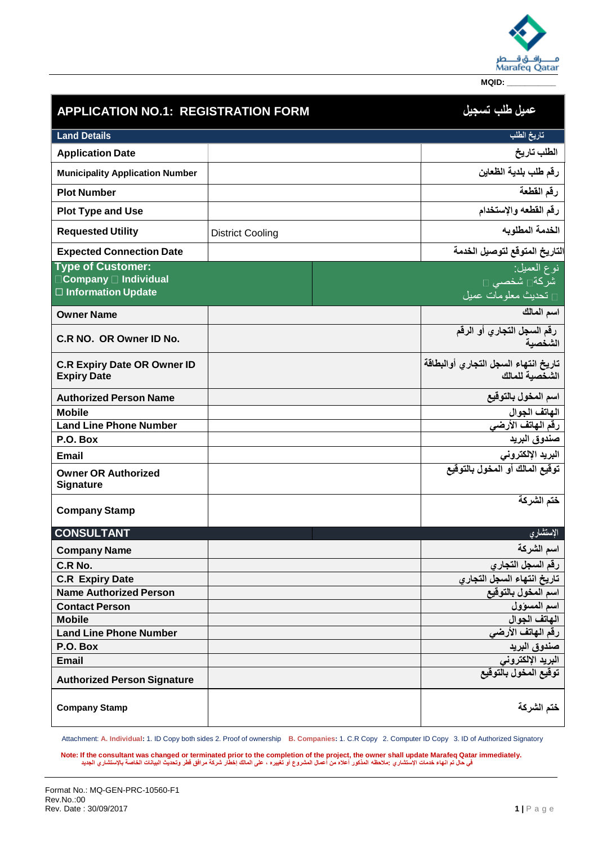

| <b>APPLICATION NO.1: REGISTRATION FORM</b>                                 |                         | عميل طلب تسجيل                                                               |
|----------------------------------------------------------------------------|-------------------------|------------------------------------------------------------------------------|
| <b>Land Details</b>                                                        |                         | تاريخ الطلب                                                                  |
| <b>Application Date</b>                                                    |                         | الطلب تاريخ                                                                  |
| <b>Municipality Application Number</b>                                     |                         | رقم طلب بلدية الظعاين                                                        |
| <b>Plot Number</b>                                                         |                         | رقم القطعة                                                                   |
| <b>Plot Type and Use</b>                                                   |                         | رقم القطعه والإستخدام                                                        |
| <b>Requested Utility</b>                                                   | <b>District Cooling</b> | الخدمة المطلوبه                                                              |
| <b>Expected Connection Date</b>                                            |                         | لتاريخ المتوقع لتوصيل الخدمة                                                 |
| <b>Type of Customer:</b><br>□ Company □ Individual<br>□ Information Update |                         | نوع العميل <del>:</del><br>شركة∏ شخصى □<br><mark>□ تحديث معلومات عميل</mark> |
| <b>Owner Name</b>                                                          |                         | اسم المالك                                                                   |
| C.R NO. OR Owner ID No.                                                    |                         | رقم السجل التجاري أو الرقم<br>الشخصبة                                        |
| <b>C.R Expiry Date OR Owner ID</b><br><b>Expiry Date</b>                   |                         | تاريخ انتهاء السجل التجارى أوالبطاقة<br>الشخصية للمالك                       |
| <b>Authorized Person Name</b>                                              |                         | اسم المخول بالتوقيع                                                          |
| <b>Mobile</b>                                                              |                         | الهاتف الجوال<br>رقم الهاتف الأرض <i>ي</i>                                   |
| <b>Land Line Phone Number</b>                                              |                         |                                                                              |
| P.O. Box                                                                   |                         | صندوق البريد                                                                 |
| <b>Email</b>                                                               |                         | البريد الإلكتروني                                                            |
| <b>Owner OR Authorized</b><br><b>Signature</b>                             |                         | توقيع المالك أو المخول بالتوقيع                                              |
| <b>Company Stamp</b>                                                       |                         | ختم الشركة                                                                   |
| <b>CONSULTANT</b>                                                          |                         | الإستشارى                                                                    |
| <b>Company Name</b>                                                        |                         | اسم الشركة                                                                   |
| C.R No.                                                                    |                         | رقم السجل التجارى                                                            |
| <b>C.R Expiry Date</b>                                                     |                         | تاريخ انتهاء السجل التجاري                                                   |
| <b>Name Authorized Person</b>                                              |                         | اسم المخول بالتوقيع                                                          |
| <b>Contact Person</b>                                                      |                         | اسم المسؤول                                                                  |
| <b>Mobile</b>                                                              |                         | الهاتف الجوال                                                                |
| <b>Land Line Phone Number</b>                                              |                         | رقم الهاتف الأرضي                                                            |
| P.O. Box                                                                   |                         | صندوق البريد                                                                 |
| <b>Email</b>                                                               |                         | البريد الإلكترون <i>ي</i>                                                    |
| <b>Authorized Person Signature</b>                                         |                         | توقيع المخول بالتوقيع                                                        |
| <b>Company Stamp</b>                                                       |                         | ختم الشركة                                                                   |

Attachment: **A. Individual:** 1. ID Copy both sides 2. Proof of ownership **B. Companies:** 1. C.R Copy 2. Computer ID Copy 3. ID of Authorized Signatory

.Note: If the consultant was changed or terminated prior to the completion of the project, the owner shall update Marafeq Qatar immediately.<br>في حال تم انهاء خدمات الإستشاري :ملاحظه المذكور أعلاه من أعمال المشروع أو تغييره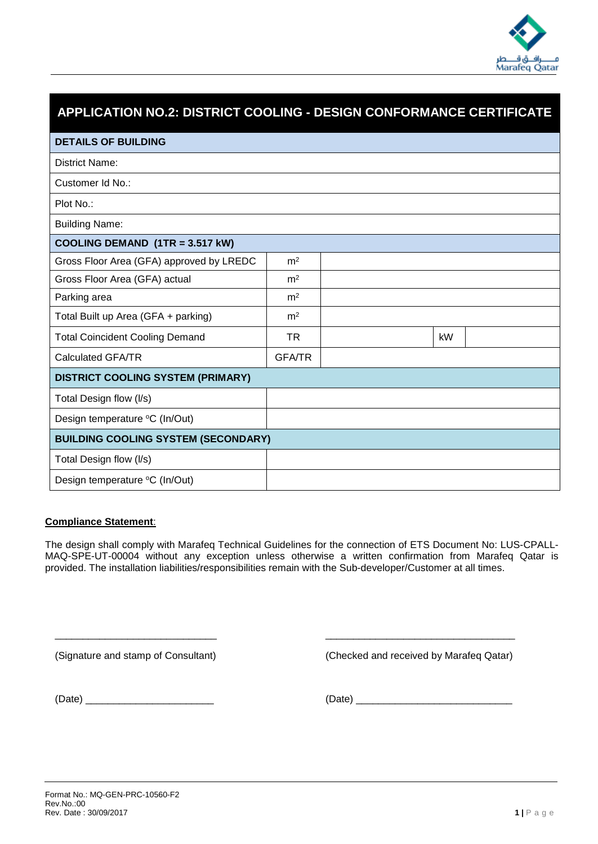

| APPLICATION NO.2: DISTRICT COOLING - DESIGN CONFORMANCE CERTIFICATE |                |  |    |  |  |  |  |
|---------------------------------------------------------------------|----------------|--|----|--|--|--|--|
| <b>DETAILS OF BUILDING</b>                                          |                |  |    |  |  |  |  |
| <b>District Name:</b>                                               |                |  |    |  |  |  |  |
| Customer Id No.:                                                    |                |  |    |  |  |  |  |
| Plot No.:                                                           |                |  |    |  |  |  |  |
| <b>Building Name:</b>                                               |                |  |    |  |  |  |  |
| COOLING DEMAND (1TR = 3.517 kW)                                     |                |  |    |  |  |  |  |
| Gross Floor Area (GFA) approved by LREDC                            | m <sup>2</sup> |  |    |  |  |  |  |
| Gross Floor Area (GFA) actual                                       | m <sup>2</sup> |  |    |  |  |  |  |
| Parking area                                                        | m <sup>2</sup> |  |    |  |  |  |  |
| Total Built up Area (GFA + parking)                                 | m <sup>2</sup> |  |    |  |  |  |  |
| <b>Total Coincident Cooling Demand</b>                              | <b>TR</b>      |  | kW |  |  |  |  |
| <b>Calculated GFA/TR</b>                                            | <b>GFA/TR</b>  |  |    |  |  |  |  |
| <b>DISTRICT COOLING SYSTEM (PRIMARY)</b>                            |                |  |    |  |  |  |  |
| Total Design flow (I/s)                                             |                |  |    |  |  |  |  |
| Design temperature °C (In/Out)                                      |                |  |    |  |  |  |  |
| <b>BUILDING COOLING SYSTEM (SECONDARY)</b>                          |                |  |    |  |  |  |  |
| Total Design flow (I/s)                                             |                |  |    |  |  |  |  |
| Design temperature °C (In/Out)                                      |                |  |    |  |  |  |  |

#### **Compliance Statement**:

The design shall comply with Marafeq Technical Guidelines for the connection of ETS Document No: LUS-CPALL-MAQ-SPE-UT-00004 without any exception unless otherwise a written confirmation from Marafeq Qatar is provided. The installation liabilities/responsibilities remain with the Sub-developer/Customer at all times.

\_\_\_\_\_\_\_\_\_\_\_\_\_\_\_\_\_\_\_\_\_\_\_\_\_\_\_\_\_ \_\_\_\_\_\_\_\_\_\_\_\_\_\_\_\_\_\_\_\_\_\_\_\_\_\_\_\_\_\_\_\_\_\_

(Signature and stamp of Consultant) (Checked and received by Marafeq Qatar)

 $(Date)$   $(Date)$   $(Date)$   $(Date)$   $(Date)$   $(Date)$   $(Date)$   $(Date)$   $(Date)$   $(Date)$   $(Date)$   $(Date)$   $(Date)$   $(Date)$   $(Date)$   $(Date)$   $(Date)$   $(Date)$   $(Date)$   $(Date)$   $(Date)$   $(Date)$   $(Date)$   $(Date)$   $(Date)$   $(Date)$   $(Date)$   $(Date)$   $(Date)$   $(Date)$   $(Date)$   $(Date)$   $(Date)$   $(Date)$   $(Date)$   $(Date)$   $(Date)$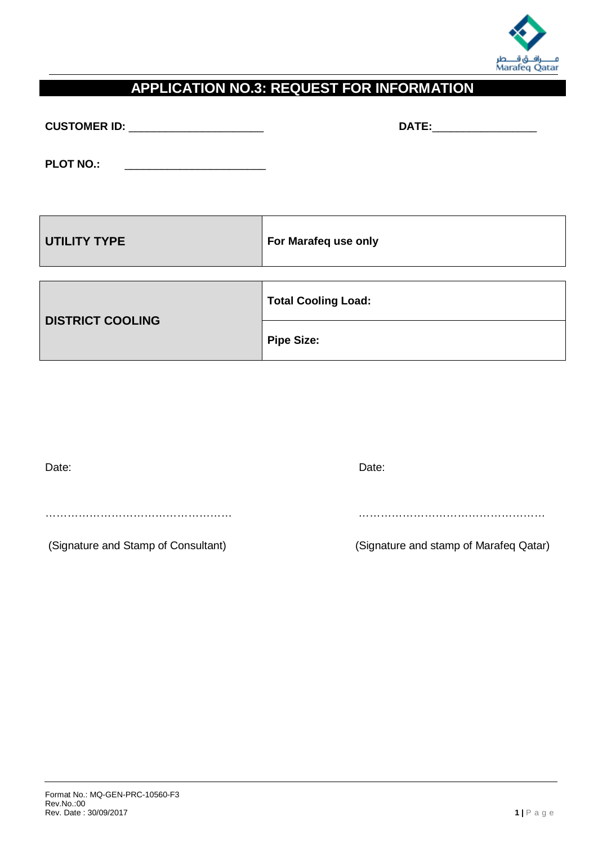

### **APPLICATION NO.3: REQUEST FOR INFORMATION**

| <b>CUSTOMER ID:</b> |  |
|---------------------|--|
|                     |  |

**CUSTOMER ID:** \_\_\_\_\_\_\_\_\_\_\_\_\_\_\_\_\_\_\_\_\_\_ **DATE:**\_\_\_\_\_\_\_\_\_\_\_\_\_\_\_\_\_

**PLOT NO.:** \_\_\_\_\_\_\_\_\_\_\_\_\_\_\_\_\_\_\_\_\_\_\_

| <b>UTILITY TYPE</b>     | For Marafeq use only       |
|-------------------------|----------------------------|
|                         | <b>Total Cooling Load:</b> |
| <b>DISTRICT COOLING</b> | <b>Pipe Size:</b>          |

| Date:                               | Date:                                  |
|-------------------------------------|----------------------------------------|
|                                     |                                        |
|                                     |                                        |
|                                     |                                        |
| (Signature and Stamp of Consultant) | (Signature and stamp of Marafeq Qatar) |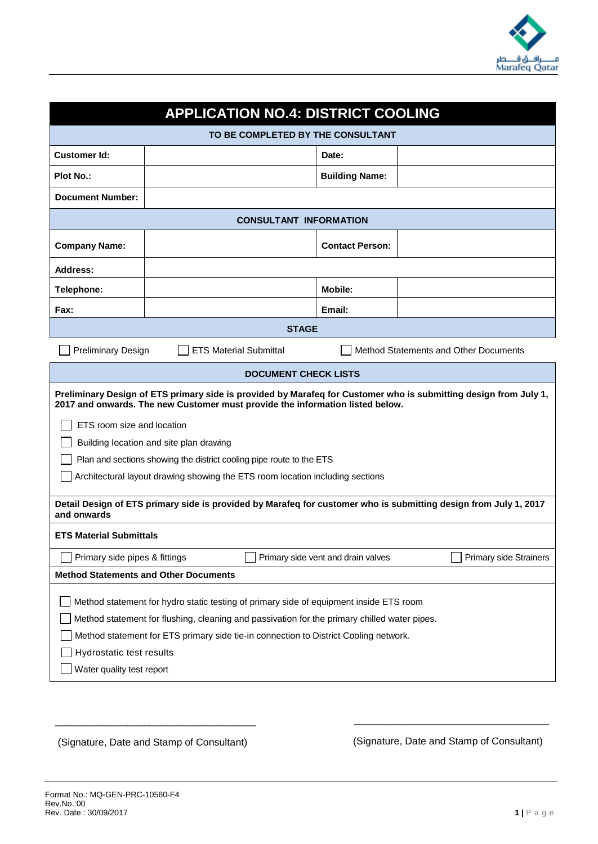

| <b>APPLICATION NO.4: DISTRICT COOLING</b>                                                                                                                                                                                                                                                                                                                                                                                           |                                                                                                                  |                                    |                                       |  |  |
|-------------------------------------------------------------------------------------------------------------------------------------------------------------------------------------------------------------------------------------------------------------------------------------------------------------------------------------------------------------------------------------------------------------------------------------|------------------------------------------------------------------------------------------------------------------|------------------------------------|---------------------------------------|--|--|
|                                                                                                                                                                                                                                                                                                                                                                                                                                     | TO BE COMPLETED BY THE CONSULTANT                                                                                |                                    |                                       |  |  |
| <b>Customer Id:</b>                                                                                                                                                                                                                                                                                                                                                                                                                 |                                                                                                                  | Date:                              |                                       |  |  |
| <b>Plot No.:</b>                                                                                                                                                                                                                                                                                                                                                                                                                    |                                                                                                                  | <b>Building Name:</b>              |                                       |  |  |
| <b>Document Number:</b>                                                                                                                                                                                                                                                                                                                                                                                                             |                                                                                                                  |                                    |                                       |  |  |
|                                                                                                                                                                                                                                                                                                                                                                                                                                     | <b>CONSULTANT INFORMATION</b>                                                                                    |                                    |                                       |  |  |
| <b>Company Name:</b>                                                                                                                                                                                                                                                                                                                                                                                                                |                                                                                                                  | <b>Contact Person:</b>             |                                       |  |  |
| <b>Address:</b>                                                                                                                                                                                                                                                                                                                                                                                                                     |                                                                                                                  |                                    |                                       |  |  |
| Telephone:                                                                                                                                                                                                                                                                                                                                                                                                                          |                                                                                                                  | <b>Mobile:</b>                     |                                       |  |  |
| <b>Fax:</b>                                                                                                                                                                                                                                                                                                                                                                                                                         |                                                                                                                  | Email:                             |                                       |  |  |
|                                                                                                                                                                                                                                                                                                                                                                                                                                     | <b>STAGE</b>                                                                                                     |                                    |                                       |  |  |
| <b>Preliminary Design</b>                                                                                                                                                                                                                                                                                                                                                                                                           | <b>ETS Material Submittal</b>                                                                                    |                                    | Method Statements and Other Documents |  |  |
|                                                                                                                                                                                                                                                                                                                                                                                                                                     | <b>DOCUMENT CHECK LISTS</b>                                                                                      |                                    |                                       |  |  |
| Preliminary Design of ETS primary side is provided by Marafeq for Customer who is submitting design from July 1,<br>2017 and onwards. The new Customer must provide the information listed below.<br>ETS room size and location<br>Building location and site plan drawing<br>Plan and sections showing the district cooling pipe route to the ETS<br>Architectural layout drawing showing the ETS room location including sections |                                                                                                                  |                                    |                                       |  |  |
| and onwards                                                                                                                                                                                                                                                                                                                                                                                                                         | Detail Design of ETS primary side is provided by Marafeq for customer who is submitting design from July 1, 2017 |                                    |                                       |  |  |
| <b>ETS Material Submittals</b>                                                                                                                                                                                                                                                                                                                                                                                                      |                                                                                                                  |                                    |                                       |  |  |
| Primary side pipes & fittings                                                                                                                                                                                                                                                                                                                                                                                                       |                                                                                                                  | Primary side vent and drain valves | Primary side Strainers                |  |  |
| <b>Method Statements and Other Documents</b>                                                                                                                                                                                                                                                                                                                                                                                        |                                                                                                                  |                                    |                                       |  |  |
| Method statement for hydro static testing of primary side of equipment inside ETS room<br>Method statement for flushing, cleaning and passivation for the primary chilled water pipes.<br>Method statement for ETS primary side tie-in connection to District Cooling network.<br>Hydrostatic test results<br>Water quality test report                                                                                             |                                                                                                                  |                                    |                                       |  |  |

(Signature, Date and Stamp of Consultant)

\_\_\_\_\_\_\_\_\_\_\_\_\_\_\_\_\_\_\_\_\_\_\_\_\_\_\_\_\_\_\_\_\_\_\_\_

(Signature, Date and Stamp of Consultant)

 $\overline{\phantom{a}}$  ,  $\overline{\phantom{a}}$  ,  $\overline{\phantom{a}}$  ,  $\overline{\phantom{a}}$  ,  $\overline{\phantom{a}}$  ,  $\overline{\phantom{a}}$  ,  $\overline{\phantom{a}}$  ,  $\overline{\phantom{a}}$  ,  $\overline{\phantom{a}}$  ,  $\overline{\phantom{a}}$  ,  $\overline{\phantom{a}}$  ,  $\overline{\phantom{a}}$  ,  $\overline{\phantom{a}}$  ,  $\overline{\phantom{a}}$  ,  $\overline{\phantom{a}}$  ,  $\overline{\phantom{a}}$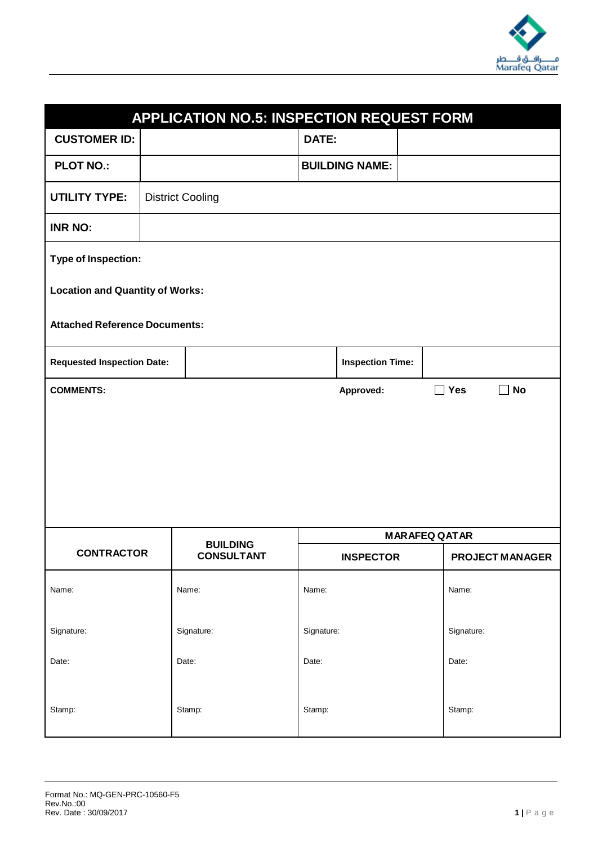

| <b>APPLICATION NO.5: INSPECTION REQUEST FORM</b>                                     |  |                         |            |                         |  |                      |                        |
|--------------------------------------------------------------------------------------|--|-------------------------|------------|-------------------------|--|----------------------|------------------------|
| <b>CUSTOMER ID:</b>                                                                  |  |                         | DATE:      |                         |  |                      |                        |
| <b>PLOT NO.:</b>                                                                     |  |                         |            | <b>BUILDING NAME:</b>   |  |                      |                        |
| <b>UTILITY TYPE:</b>                                                                 |  | <b>District Cooling</b> |            |                         |  |                      |                        |
| <b>INR NO:</b>                                                                       |  |                         |            |                         |  |                      |                        |
| <b>Type of Inspection:</b>                                                           |  |                         |            |                         |  |                      |                        |
| <b>Location and Quantity of Works:</b>                                               |  |                         |            |                         |  |                      |                        |
| <b>Attached Reference Documents:</b>                                                 |  |                         |            |                         |  |                      |                        |
| <b>Requested Inspection Date:</b>                                                    |  |                         |            | <b>Inspection Time:</b> |  |                      |                        |
| <b>Yes</b><br><b>No</b><br>$\blacksquare$<br>$\Box$<br><b>COMMENTS:</b><br>Approved: |  |                         |            |                         |  |                      |                        |
|                                                                                      |  |                         |            |                         |  |                      |                        |
|                                                                                      |  | <b>BUILDING</b>         |            |                         |  | <b>MARAFEQ QATAR</b> |                        |
| <b>CONTRACTOR</b>                                                                    |  | <b>CONSULTANT</b>       |            | <b>INSPECTOR</b>        |  |                      | <b>PROJECT MANAGER</b> |
| Name:                                                                                |  | Name:                   | Name:      |                         |  | Name:                |                        |
| Signature:                                                                           |  | Signature:              | Signature: |                         |  | Signature:           |                        |
| Date:                                                                                |  | Date:                   | Date:      |                         |  | Date:                |                        |
| Stamp:                                                                               |  | Stamp:                  | Stamp:     |                         |  | Stamp:               |                        |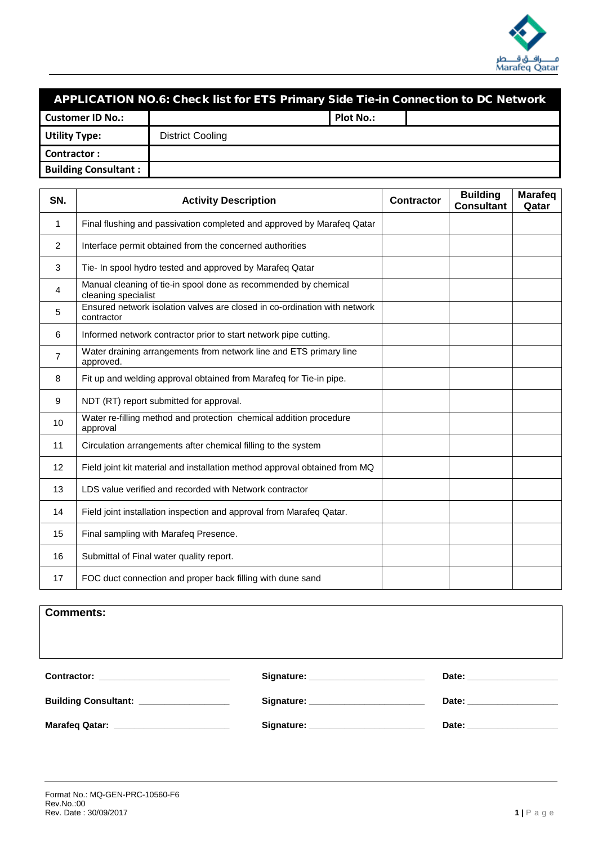

#### APPLICATION NO.6: Check list for ETS Primary Side Tie-in Connection to DC Network

| <b>Customer ID No.:</b>     |                  | <b>Plot No.:</b> |  |
|-----------------------------|------------------|------------------|--|
| <b>Utility Type:</b>        | District Cooling |                  |  |
| Contractor:                 |                  |                  |  |
| <b>Building Consultant:</b> |                  |                  |  |

| SN. | <b>Activity Description</b>                                                             | <b>Contractor</b> | <b>Building</b><br><b>Consultant</b> | <b>Marafeq</b><br>Qatar |
|-----|-----------------------------------------------------------------------------------------|-------------------|--------------------------------------|-------------------------|
| 1   | Final flushing and passivation completed and approved by Marafeq Qatar                  |                   |                                      |                         |
| 2   | Interface permit obtained from the concerned authorities                                |                   |                                      |                         |
| 3   | Tie- In spool hydro tested and approved by Marafeq Qatar                                |                   |                                      |                         |
| 4   | Manual cleaning of tie-in spool done as recommended by chemical<br>cleaning specialist  |                   |                                      |                         |
| 5   | Ensured network isolation valves are closed in co-ordination with network<br>contractor |                   |                                      |                         |
| 6   | Informed network contractor prior to start network pipe cutting.                        |                   |                                      |                         |
| 7   | Water draining arrangements from network line and ETS primary line<br>approved.         |                   |                                      |                         |
| 8   | Fit up and welding approval obtained from Marafeq for Tie-in pipe.                      |                   |                                      |                         |
| 9   | NDT (RT) report submitted for approval.                                                 |                   |                                      |                         |
| 10  | Water re-filling method and protection chemical addition procedure<br>approval          |                   |                                      |                         |
| 11  | Circulation arrangements after chemical filling to the system                           |                   |                                      |                         |
| 12  | Field joint kit material and installation method approval obtained from MQ              |                   |                                      |                         |
| 13  | LDS value verified and recorded with Network contractor                                 |                   |                                      |                         |
| 14  | Field joint installation inspection and approval from Marafeq Qatar.                    |                   |                                      |                         |
| 15  | Final sampling with Marafeq Presence.                                                   |                   |                                      |                         |
| 16  | Submittal of Final water quality report.                                                |                   |                                      |                         |
| 17  | FOC duct connection and proper back filling with dune sand                              |                   |                                      |                         |

|  |  | <b>Comments:</b> |
|--|--|------------------|
|--|--|------------------|

**Contractor: \_\_\_\_\_\_\_\_\_\_\_\_\_\_\_\_\_\_\_\_\_\_\_\_\_\_ Signature: \_\_\_\_\_\_\_\_\_\_\_\_\_\_\_\_\_\_\_\_\_\_\_ Date: \_\_\_\_\_\_\_\_\_\_\_\_\_\_\_\_\_\_**

| <b>Building Consultant:</b> | Signature: | Date: |
|-----------------------------|------------|-------|
|                             |            |       |
| <b>Marafeg Qatar:</b>       | Signature: | Date: |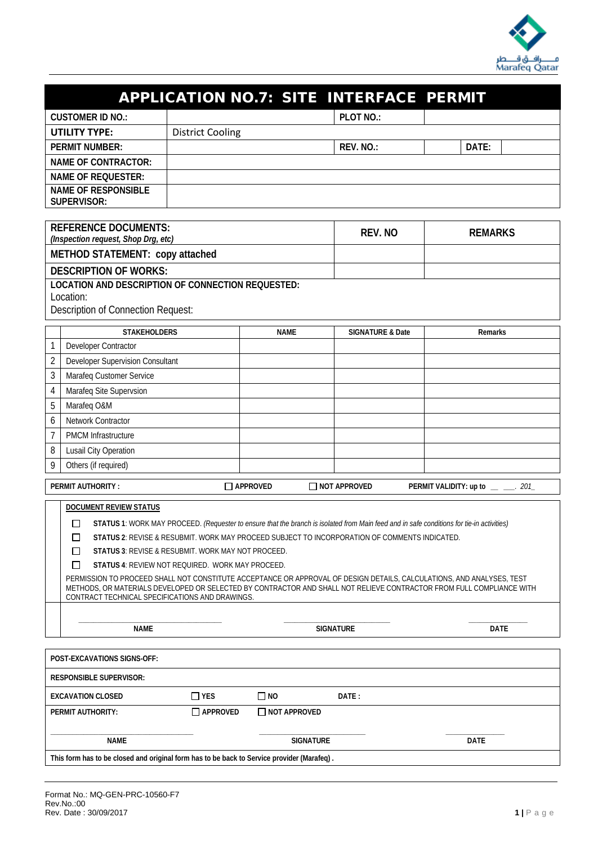

|                                                                                                                    |                                  |             | <b>APPLICATION NO.7: SITE INTERFACE PERMIT</b> |                |  |  |
|--------------------------------------------------------------------------------------------------------------------|----------------------------------|-------------|------------------------------------------------|----------------|--|--|
| <b>CUSTOMER ID NO.:</b>                                                                                            |                                  |             | PLOT NO.:                                      |                |  |  |
| <b>UTILITY TYPE:</b>                                                                                               | <b>District Cooling</b>          |             |                                                |                |  |  |
| <b>PERMIT NUMBER:</b>                                                                                              |                                  |             | REV. NO.:                                      | DATE:          |  |  |
| <b>NAME OF CONTRACTOR:</b>                                                                                         |                                  |             |                                                |                |  |  |
| <b>NAME OF REQUESTER:</b>                                                                                          |                                  |             |                                                |                |  |  |
| <b>NAME OF RESPONSIBLE</b><br><b>SUPERVISOR:</b>                                                                   |                                  |             |                                                |                |  |  |
| <b>REFERENCE DOCUMENTS:</b><br>REV. NO<br><b>REMARKS</b><br>(Inspection request, Shop Drg, etc)                    |                                  |             |                                                |                |  |  |
| METHOD STATEMENT: copy attached                                                                                    |                                  |             |                                                |                |  |  |
|                                                                                                                    | <b>DESCRIPTION OF WORKS:</b>     |             |                                                |                |  |  |
| <b>LOCATION AND DESCRIPTION OF CONNECTION REQUESTED:</b><br>Location:<br><b>Description of Connection Request:</b> |                                  |             |                                                |                |  |  |
| <b>STAKEHOLDERS</b>                                                                                                |                                  | <b>NAME</b> | <b>SIGNATURE &amp; Date</b>                    | <b>Remarks</b> |  |  |
| 1<br>Developer Contractor                                                                                          |                                  |             |                                                |                |  |  |
| $\overline{2}$                                                                                                     | Developer Supervision Consultant |             |                                                |                |  |  |
| 3<br>Marafeq Customer Service                                                                                      |                                  |             |                                                |                |  |  |
| 4<br>Marafeq Site Supervsion                                                                                       |                                  |             |                                                |                |  |  |
| 5<br>Marafeq O&M                                                                                                   |                                  |             |                                                |                |  |  |
| Network Contractor<br>6                                                                                            |                                  |             |                                                |                |  |  |
| $\overline{7}$<br><b>PMCM Infrastructure</b>                                                                       |                                  |             |                                                |                |  |  |
| 8<br>Lusail City Operation                                                                                         |                                  |             |                                                |                |  |  |

| <b>PERMIT AUTHORITY:</b> |  |  |  |
|--------------------------|--|--|--|
|                          |  |  |  |

9 Others (if required)

|     | <b>DOCUMENT REVIEW STATUS</b>                                                                                                             |                                                                                                                                                                                                                                               |      |  |  |  |  |
|-----|-------------------------------------------------------------------------------------------------------------------------------------------|-----------------------------------------------------------------------------------------------------------------------------------------------------------------------------------------------------------------------------------------------|------|--|--|--|--|
| Π   | STATUS 1: WORK MAY PROCEED. (Requester to ensure that the branch is isolated from Main feed and in safe conditions for tie-in activities) |                                                                                                                                                                                                                                               |      |  |  |  |  |
|     |                                                                                                                                           | STATUS 2: REVISE & RESUBMIT. WORK MAY PROCEED SUBJECT TO INCORPORATION OF COMMENTS INDICATED.                                                                                                                                                 |      |  |  |  |  |
|     | <b>STATUS 3: REVISE &amp; RESUBMIT, WORK MAY NOT PROCEED.</b>                                                                             |                                                                                                                                                                                                                                               |      |  |  |  |  |
| - 1 | <b>STATUS 4: REVIEW NOT REQUIRED. WORK MAY PROCEED.</b>                                                                                   |                                                                                                                                                                                                                                               |      |  |  |  |  |
|     | CONTRACT TECHNICAL SPECIFICATIONS AND DRAWINGS.                                                                                           | PERMISSION TO PROCEED SHALL NOT CONSTITUTE ACCEPTANCE OR APPROVAL OF DESIGN DETAILS, CALCULATIONS, AND ANALYSES, TEST<br>METHODS. OR MATERIALS DEVELOPED OR SELECTED BY CONTRACTOR AND SHALL NOT RELIEVE CONTRACTOR FROM FULL COMPLIANCE WITH |      |  |  |  |  |
|     | <b>NAME</b>                                                                                                                               | <b>SIGNATURE</b>                                                                                                                                                                                                                              | DATE |  |  |  |  |
|     |                                                                                                                                           |                                                                                                                                                                                                                                               |      |  |  |  |  |

**PERMIT AUTHORITY : APPROVED NOT APPROVED PERMIT VALIDITY: up to** *\_\_ \_\_\_. 201\_*

| <b>POST-EXCAVATIONS SIGNS-OFF:</b>                                                         |                   |                     |       |             |  |
|--------------------------------------------------------------------------------------------|-------------------|---------------------|-------|-------------|--|
| <b>RESPONSIBLE SUPERVISOR:</b>                                                             |                   |                     |       |             |  |
| <b>EXCAVATION CLOSED</b>                                                                   | $\Box$ YES        | $\Box$ NO           | DATE: |             |  |
| <b>PERMIT AUTHORITY:</b>                                                                   | $\sqcap$ approved | $\Box$ NOT APPROVED |       |             |  |
| <b>NAME</b>                                                                                |                   | <b>SIGNATURE</b>    |       | <b>DATE</b> |  |
| This form has to be closed and original form has to be back to Service provider (Marafeq). |                   |                     |       |             |  |